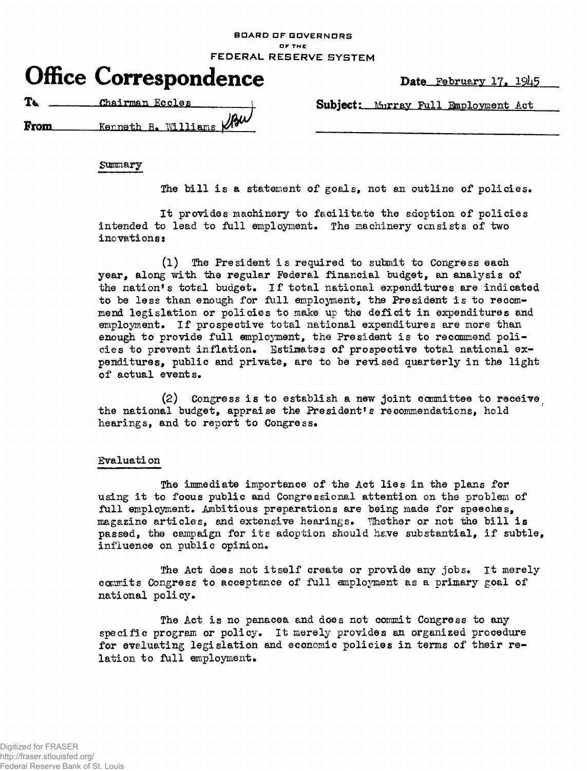**BOARD OF GOVERNORS O F TH E FEDERAL RESERVE SYSTEM** 

|  | <b>Office Correspondence</b> |
|--|------------------------------|
|--|------------------------------|

Date February 17. 1945

The Chairman Eccles holds Subject: Murray Full Employment Act

јри From Kenneth B. Williams

**Summary** 

The bill is a statement of goals, not an outline of policies.

It provides machinery to facilitate the adoption of policies intended to lead to full employment. The machinery consists of two inovations:

(1) The President is required to submit to Congress each year, along with the regular Federal financial budget, an analysis of the nation's total budget. If total national expenditures are indicated to be less than enough for full employment, the President is to recommend legislation or policies to make up the deficit in expenditures and employment. If prospective total national expenditures are more than enough to provide full employment, the President is to recommend policies to prevent inflation. Estimates of prospective total national expenditures, public and private, are to be revised quarterly in the light of actual events.

 $(2)$  Congress is to establish a new joint committee to receive the national budget, appraise the President's recommendations, hold hearings, and to report to Congress.

## Evaluati on

The immediate importance of the Act lies in the plans for using it to focus public and Congressional attention on the problem of full employment. Ambitious preparations are being made for speeches, magazine articles, and extensive hearings. Whether or not the bill is passed, the campaign for its adoption should have substantial, if subtle, influence on public opinion.

The Act does not itself create or provide any jobs. It merely commits Congress to acceptance of full employment as a primary goal of national policy.

The Act is no panacea and does not commit Congress to any specific program or policy. It merely provides an organized procedure for evaluating legislation and economic policies in terms of their relation to full employment.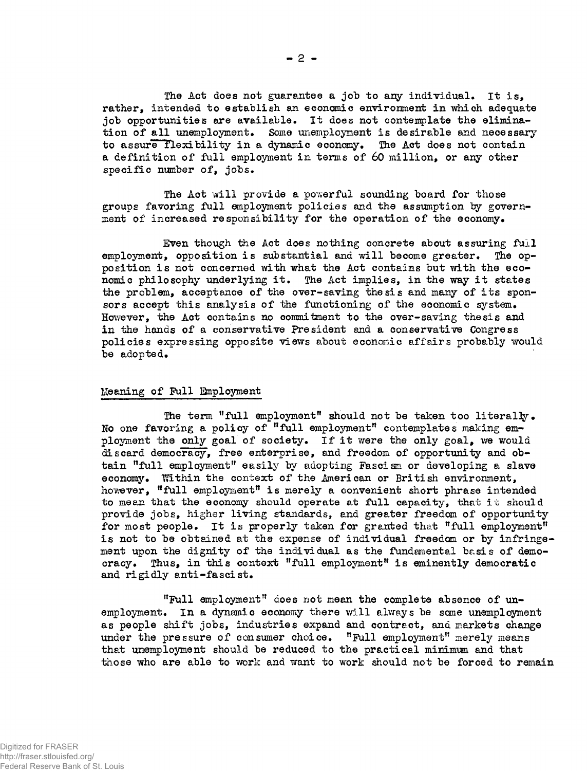The Act does not guarantee a job to any individual. It is, rather, intended to establish an economic environment in which adequate job opportunities are available. It does not contemplate the elimination of all unemployment. Some unemployment is desirable and necessary to assure flexibility in a dynamic economy. The Act does not contain a definition of full employment in terms of 60 million, or any other specific number of, jobs.

The Act will provide a powerful sounding board for those groups favoring full employment policies and the assumption by government of increased responsibility for the operation of the economy.

Even though the Act does nothing concrete about assuring full employment, opposition is substantial and will become greater. The opposition is not concerned with what the Act contains but with the economic philosophy underlying it. The Act implies, in the way it states the problem, acceptance of the over-saving thesis and many of its sponsors accept this analysis of the functioning of the economic system. However, the Act contains no commitment to the over-saving thesis and in the hands of a conservative President and a conservative Congress policies expressing opposite views about economic affairs probably would be adopted.

## Meaning of Full Employment

The term "full employment" should not be taken too literally. No one favoring a policy of "full employment" contemplates making employment the only goal of society. If it were the only goal, we would discard democracy, free enterprise, and freedom of opportunity and obtain "full employment" easily by adopting Fascism or developing a slave economy. Within the context of the American or British environment, however, "full employment" is merely a convenient short phrase intended to mean that the economy should operate at full capacity, that it should provide jobs, higher living standards, and greater freedom of opportunity for most people. It is properly taken for granted that "full employment" is not to be obtained at the expense of individual freedom or by infringement upon the dignity of the individual as the fundamental basis of democracy. Thus, in this context "full employment" is eminently democratic and rigidly anti-fascist.

"Full employment" does not mean the complete absence of unemployment. In a dynamic economy there will always be sane unemployment as people shift jobs, industries expand and contract, and markets change under the pressure of consumer choice. "Full employment" merely means that unemployment should be reduced to the practical minimum and that those who are able to work and want to work should not be forced to remain

**- 2 -**